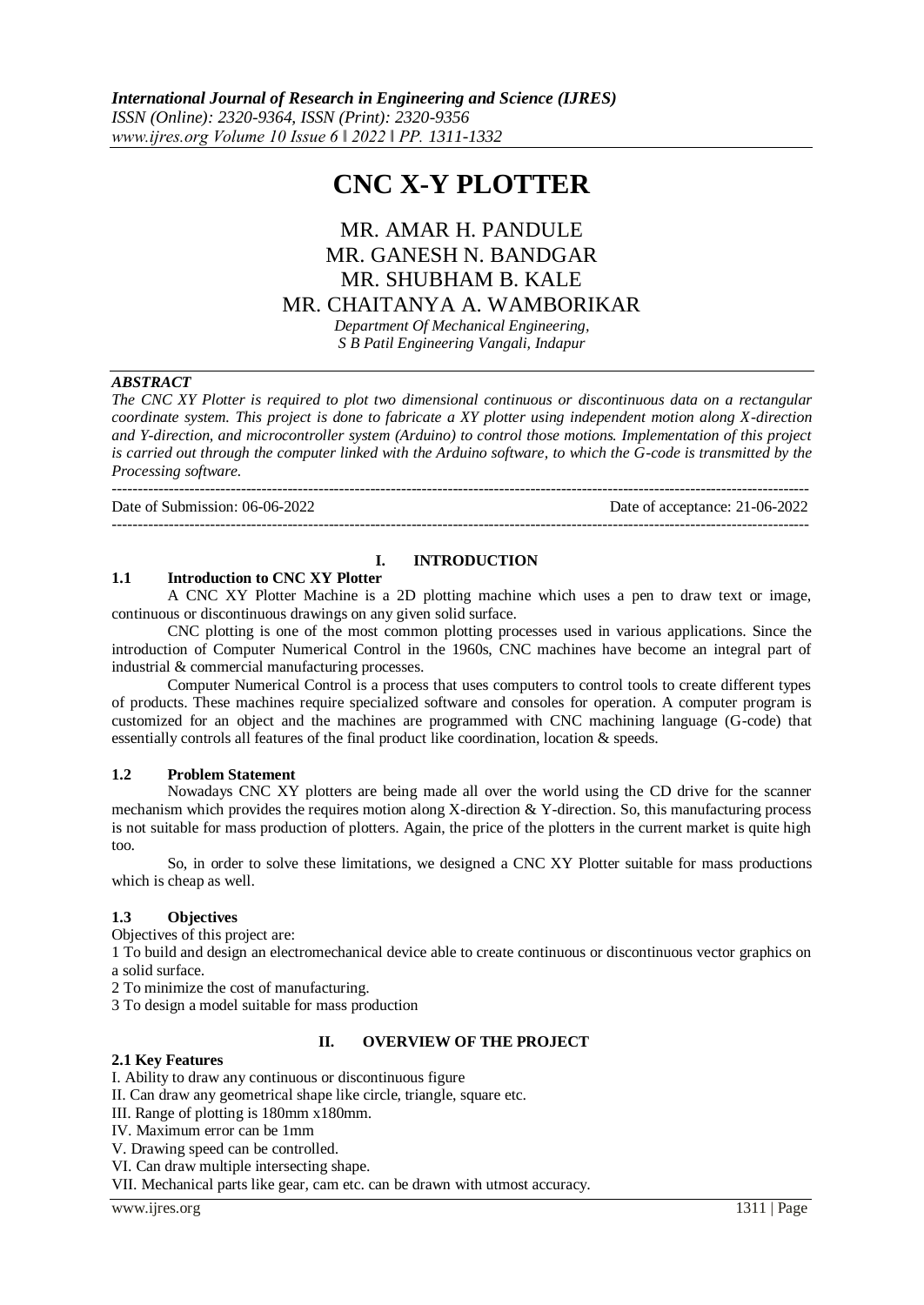# **CNC X-Y PLOTTER**

# MR. AMAR H. PANDULE MR. GANESH N. BANDGAR MR. SHUBHAM B. KALE MR. CHAITANYA A. WAMBORIKAR

*Department Of Mechanical Engineering, S B Patil Engineering Vangali, Indapur*

## *ABSTRACT*

*The CNC XY Plotter is required to plot two dimensional continuous or discontinuous data on a rectangular coordinate system. This project is done to fabricate a XY plotter using independent motion along X-direction and Y-direction, and microcontroller system (Arduino) to control those motions. Implementation of this project is carried out through the computer linked with the Arduino software, to which the G-code is transmitted by the Processing software.*

---------------------------------------------------------------------------------------------------------------------------------------

Date of Submission: 06-06-2022 Date of acceptance: 21-06-2022

---------------------------------------------------------------------------------------------------------------------------------------

## **I. INTRODUCTION**

#### **1.1 Introduction to CNC XY Plotter**

A CNC XY Plotter Machine is a 2D plotting machine which uses a pen to draw text or image, continuous or discontinuous drawings on any given solid surface.

CNC plotting is one of the most common plotting processes used in various applications. Since the introduction of Computer Numerical Control in the 1960s, CNC machines have become an integral part of industrial & commercial manufacturing processes.

Computer Numerical Control is a process that uses computers to control tools to create different types of products. These machines require specialized software and consoles for operation. A computer program is customized for an object and the machines are programmed with CNC machining language (G-code) that essentially controls all features of the final product like coordination, location & speeds.

#### **1.2 Problem Statement**

Nowadays CNC XY plotters are being made all over the world using the CD drive for the scanner mechanism which provides the requires motion along X-direction & Y-direction. So, this manufacturing process is not suitable for mass production of plotters. Again, the price of the plotters in the current market is quite high too.

So, in order to solve these limitations, we designed a CNC XY Plotter suitable for mass productions which is cheap as well.

## **1.3 Objectives**

Objectives of this project are:

1 To build and design an electromechanical device able to create continuous or discontinuous vector graphics on a solid surface.

2 To minimize the cost of manufacturing.

3 To design a model suitable for mass production

## **II. OVERVIEW OF THE PROJECT**

#### **2.1 Key Features**

I. Ability to draw any continuous or discontinuous figure

II. Can draw any geometrical shape like circle, triangle, square etc.

III. Range of plotting is 180mm x180mm.

IV. Maximum error can be 1mm

V. Drawing speed can be controlled.

VI. Can draw multiple intersecting shape.

VII. Mechanical parts like gear, cam etc. can be drawn with utmost accuracy.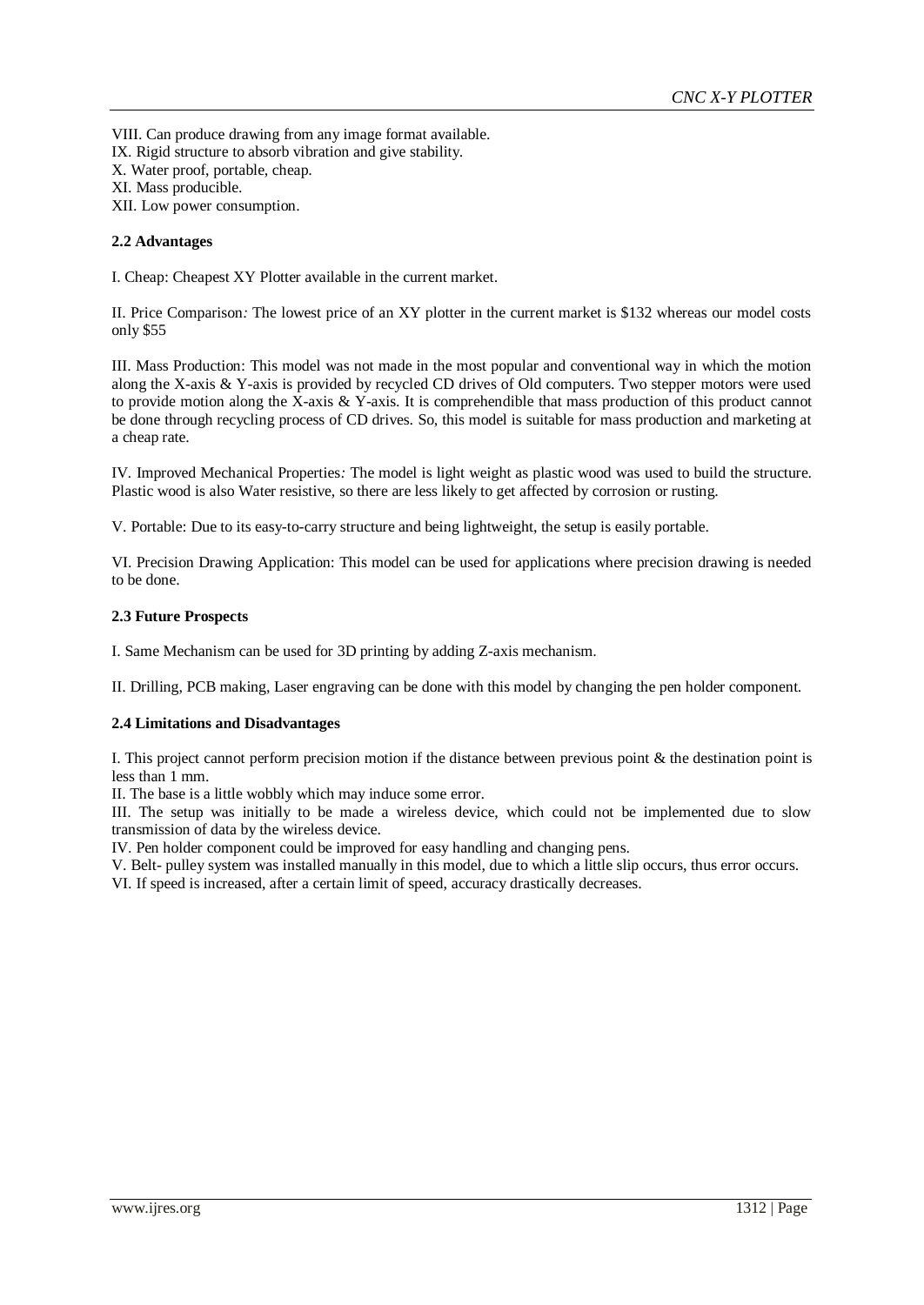VIII. Can produce drawing from any image format available. IX. Rigid structure to absorb vibration and give stability. X. Water proof, portable, cheap. XI. Mass producible. XII. Low power consumption.

**2.2 Advantages** 

I. Cheap: Cheapest XY Plotter available in the current market.

II. Price Comparison*:* The lowest price of an XY plotter in the current market is \$132 whereas our model costs only \$55

III. Mass Production: This model was not made in the most popular and conventional way in which the motion along the X-axis & Y-axis is provided by recycled CD drives of Old computers. Two stepper motors were used to provide motion along the X-axis & Y-axis. It is comprehendible that mass production of this product cannot be done through recycling process of CD drives. So, this model is suitable for mass production and marketing at a cheap rate.

IV*.* Improved Mechanical Properties*:* The model is light weight as plastic wood was used to build the structure. Plastic wood is also Water resistive, so there are less likely to get affected by corrosion or rusting.

V. Portable: Due to its easy-to-carry structure and being lightweight, the setup is easily portable.

VI. Precision Drawing Application: This model can be used for applications where precision drawing is needed to be done.

#### **2.3 Future Prospects**

I. Same Mechanism can be used for 3D printing by adding Z-axis mechanism.

II. Drilling, PCB making, Laser engraving can be done with this model by changing the pen holder component.

#### **2.4 Limitations and Disadvantages**

I. This project cannot perform precision motion if the distance between previous point & the destination point is less than 1 mm.

II. The base is a little wobbly which may induce some error.

III. The setup was initially to be made a wireless device, which could not be implemented due to slow transmission of data by the wireless device.

IV. Pen holder component could be improved for easy handling and changing pens.

V. Belt- pulley system was installed manually in this model, due to which a little slip occurs, thus error occurs.

VI. If speed is increased, after a certain limit of speed, accuracy drastically decreases.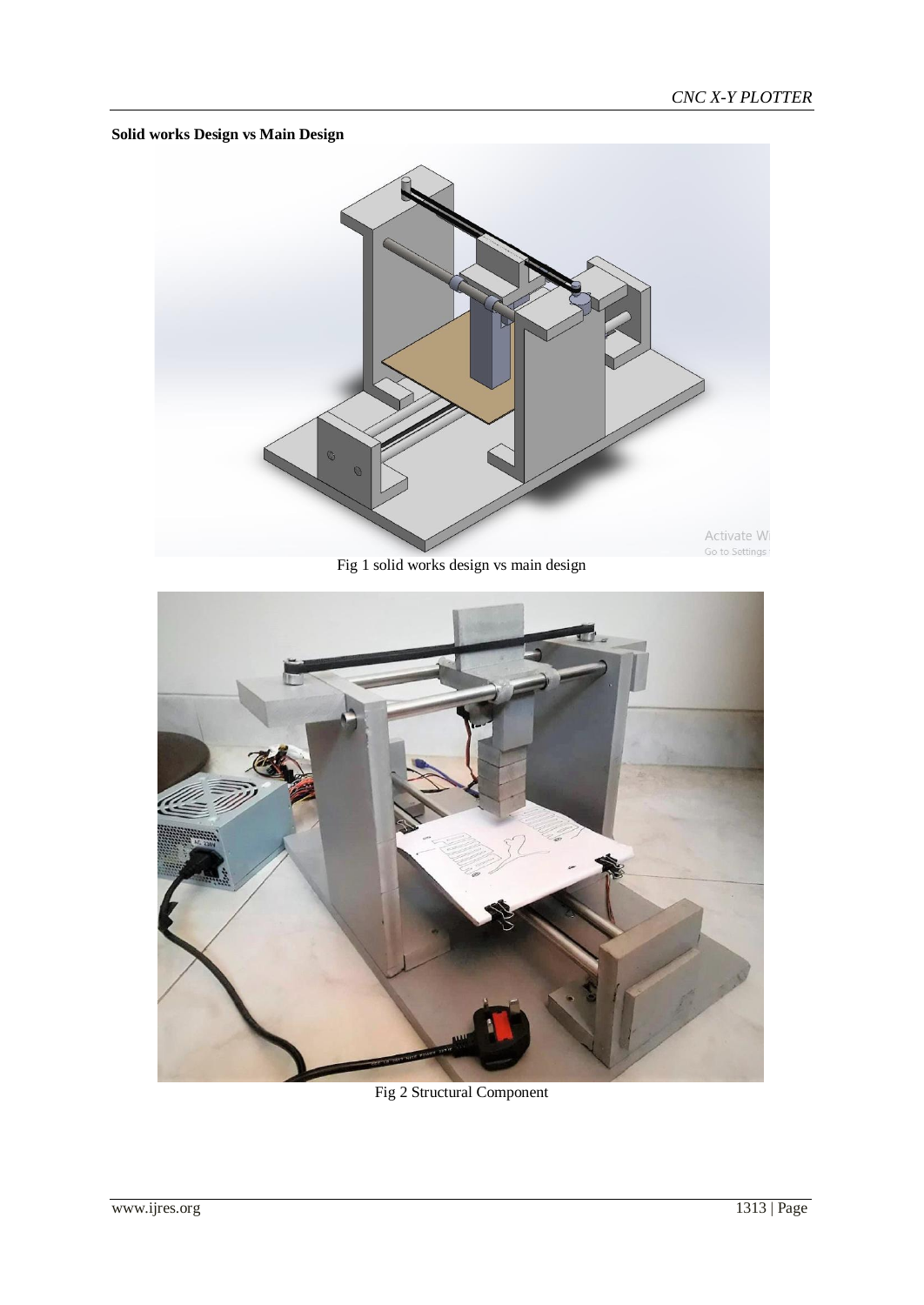## **Solid works Design vs Main Design**



Fig 1 solid works design vs main design



Fig 2 Structural Component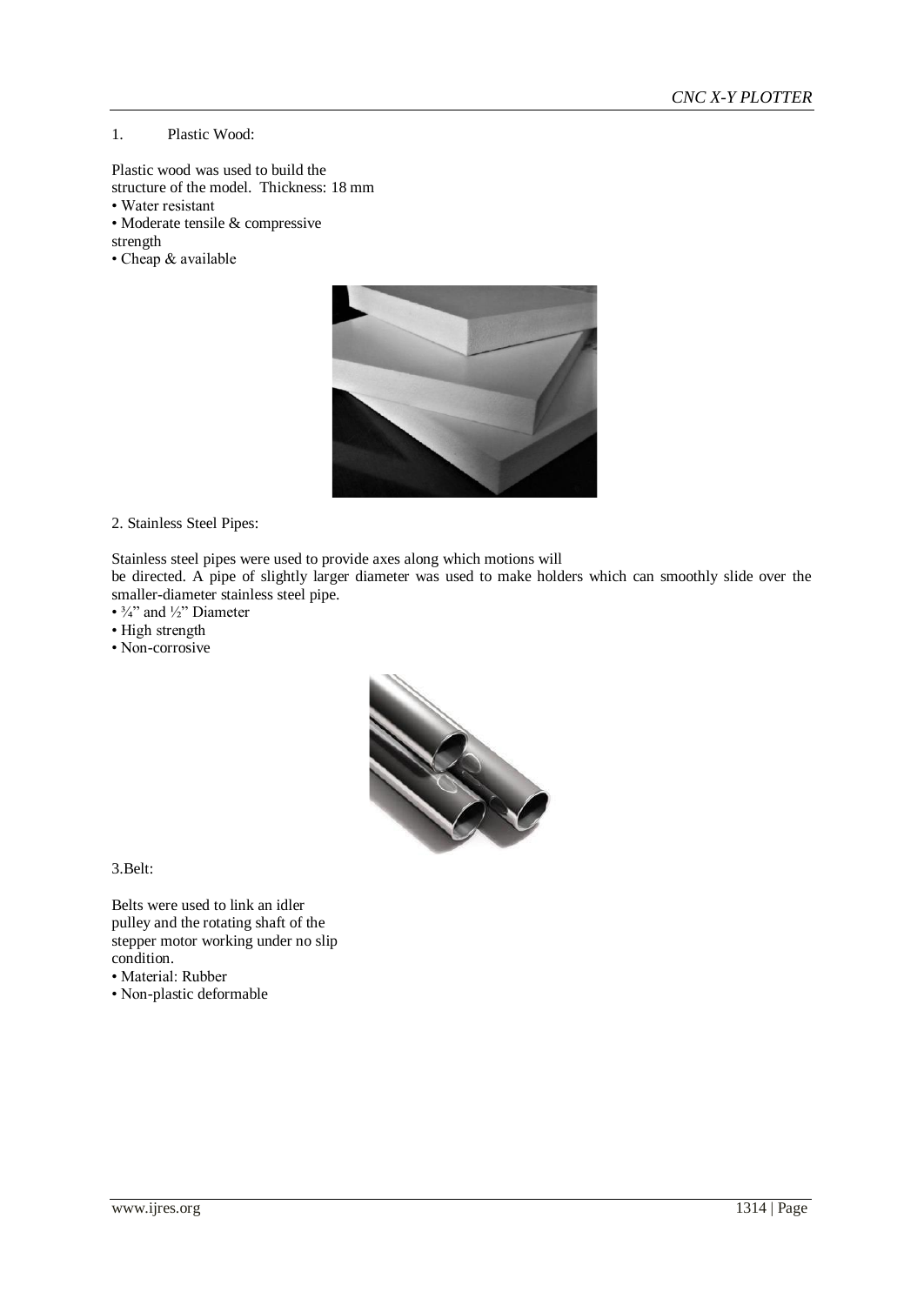#### 1. Plastic Wood:

- Plastic wood was used to build the structure of the model. Thickness: 18 mm
- Water resistant
- Moderate tensile & compressive
- strength
- Cheap & available



2. Stainless Steel Pipes:

Stainless steel pipes were used to provide axes along which motions will

be directed. A pipe of slightly larger diameter was used to make holders which can smoothly slide over the smaller-diameter stainless steel pipe.

- $\frac{3}{4}$ " and  $\frac{1}{2}$ " Diameter
- High strength
- Non-corrosive



3.Belt:

Belts were used to link an idler pulley and the rotating shaft of the stepper motor working under no slip condition.

- Material: Rubber
- Non-plastic deformable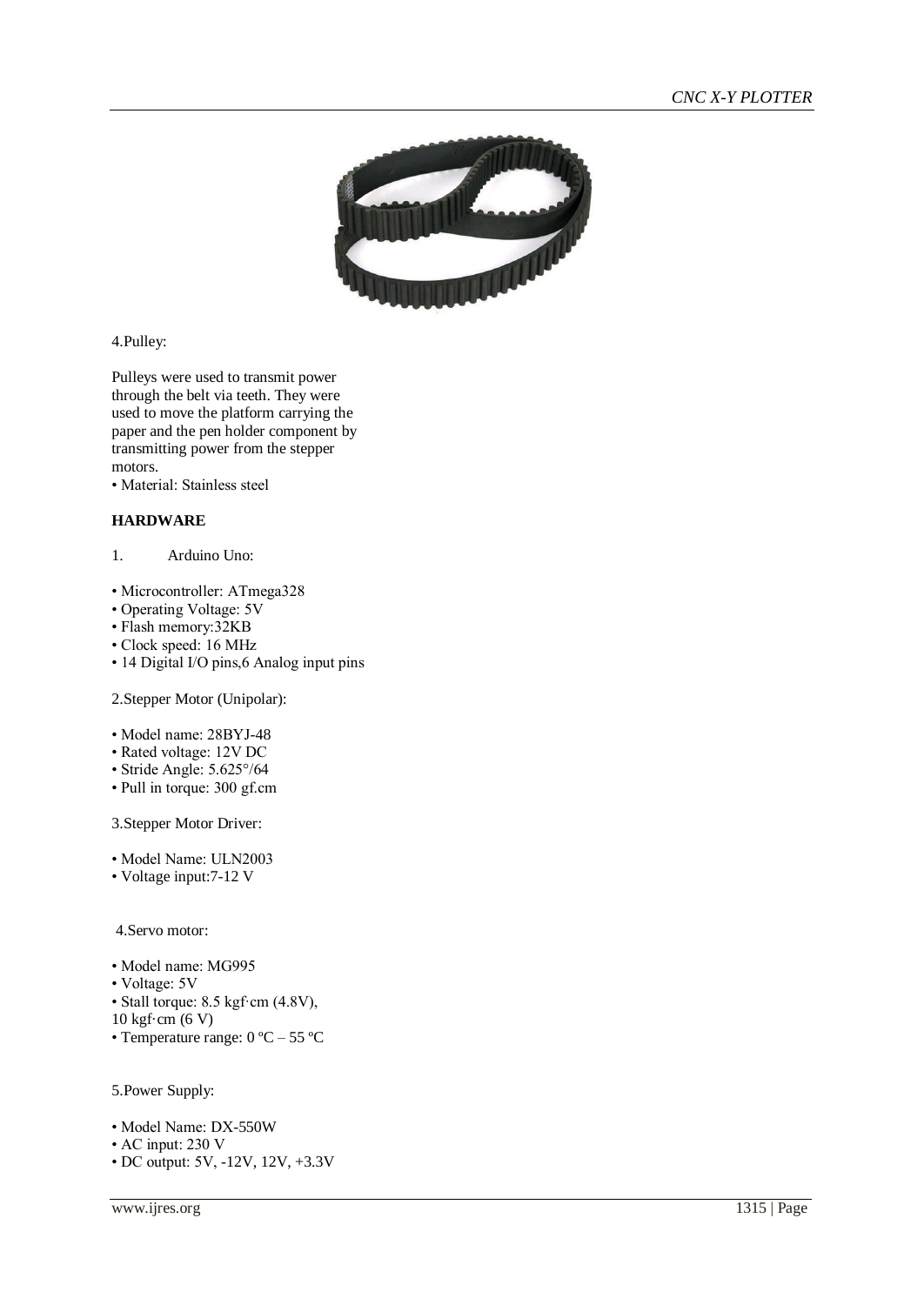

4.Pulley:

Pulleys were used to transmit power through the belt via teeth. They were used to move the platform carrying the paper and the pen holder component by transmitting power from the stepper motors.

• Material: Stainless steel

## **HARDWARE**

- 1. Arduino Uno:
- Microcontroller: ATmega328
- Operating Voltage: 5V
- Flash memory:32KB
- Clock speed: 16 MHz
- 14 Digital I/O pins,6 Analog input pins

2.Stepper Motor (Unipolar):

- Model name: 28BYJ-48
- Rated voltage: 12V DC
- Stride Angle: 5.625°/64
- Pull in torque: 300 gf.cm

3.Stepper Motor Driver:

- Model Name: ULN2003
- Voltage input:7-12 V

4.Servo motor:

- Model name: MG995
- Voltage: 5V

• Stall torque: 8.5 kgf·cm (4.8V),

- 10 kgf·cm (6 V)
- Temperature range: 0 ºC 55 ºC
- 5.Power Supply:
- Model Name: DX-550W
- AC input: 230 V
- DC output: 5V, -12V, 12V, +3.3V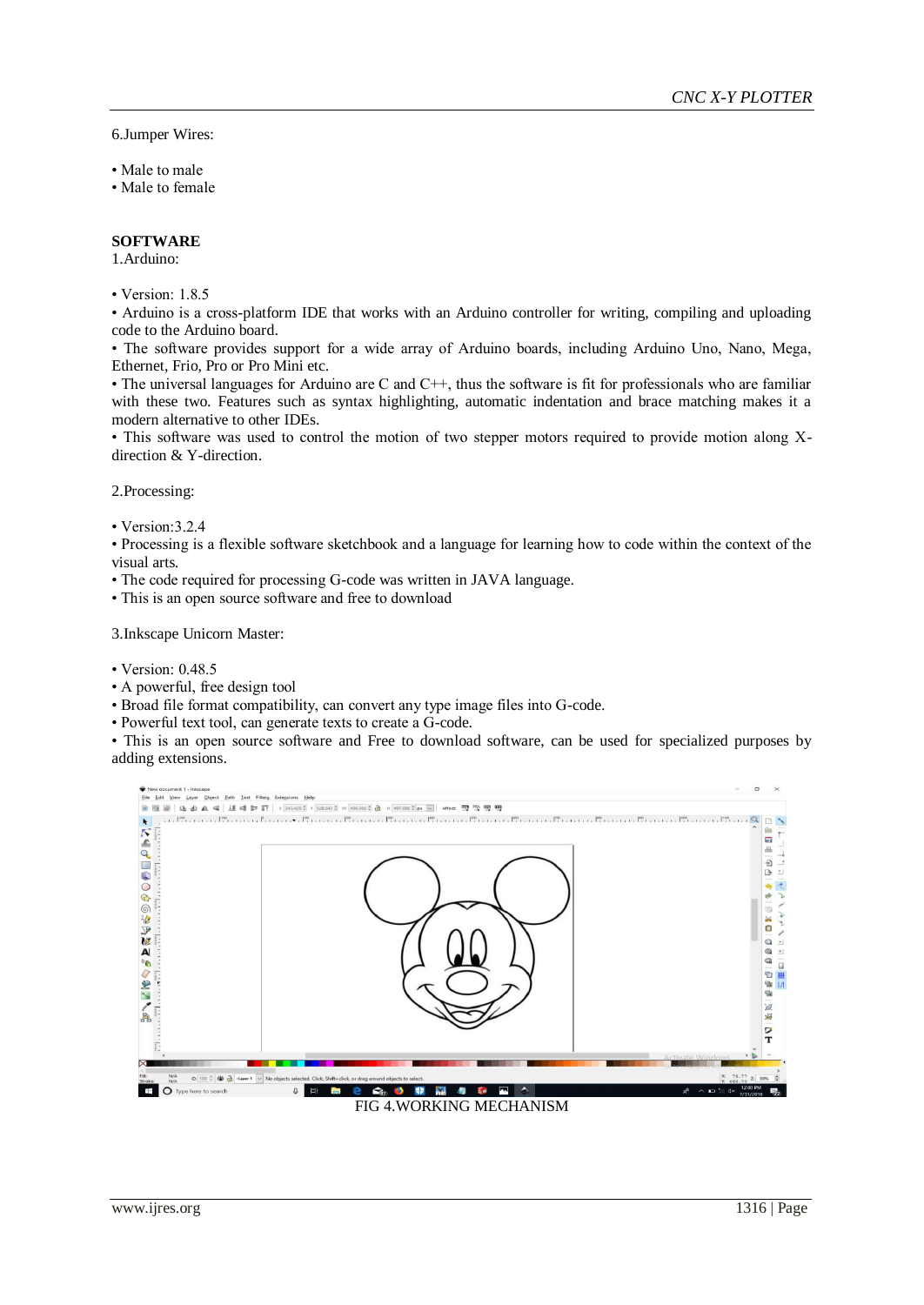6.Jumper Wires:

- Male to male
- Male to female

#### **SOFTWARE**

1.Arduino:

• Version: 1.8.5

• Arduino is a cross-platform IDE that works with an Arduino controller for writing, compiling and uploading code to the Arduino board.

• The software provides support for a wide array of Arduino boards, including Arduino Uno, Nano, Mega, Ethernet, Frio, Pro or Pro Mini etc.

• The universal languages for Arduino are C and C++, thus the software is fit for professionals who are familiar with these two. Features such as syntax highlighting, automatic indentation and brace matching makes it a modern alternative to other IDEs.

• This software was used to control the motion of two stepper motors required to provide motion along Xdirection & Y-direction.

2.Processing:

• Version: 3.2.4

• Processing is a flexible software sketchbook and a language for learning how to code within the context of the visual arts.

- The code required for processing G-code was written in JAVA language.
- This is an open source software and free to download

3.Inkscape Unicorn Master:

- Version: 0.48.5
- A powerful, free design tool
- Broad file format compatibility, can convert any type image files into G-code.
- Powerful text tool, can generate texts to create a G-code.

• This is an open source software and Free to download software, can be used for specialized purposes by adding extensions.



www.ijres.org 1316 | Page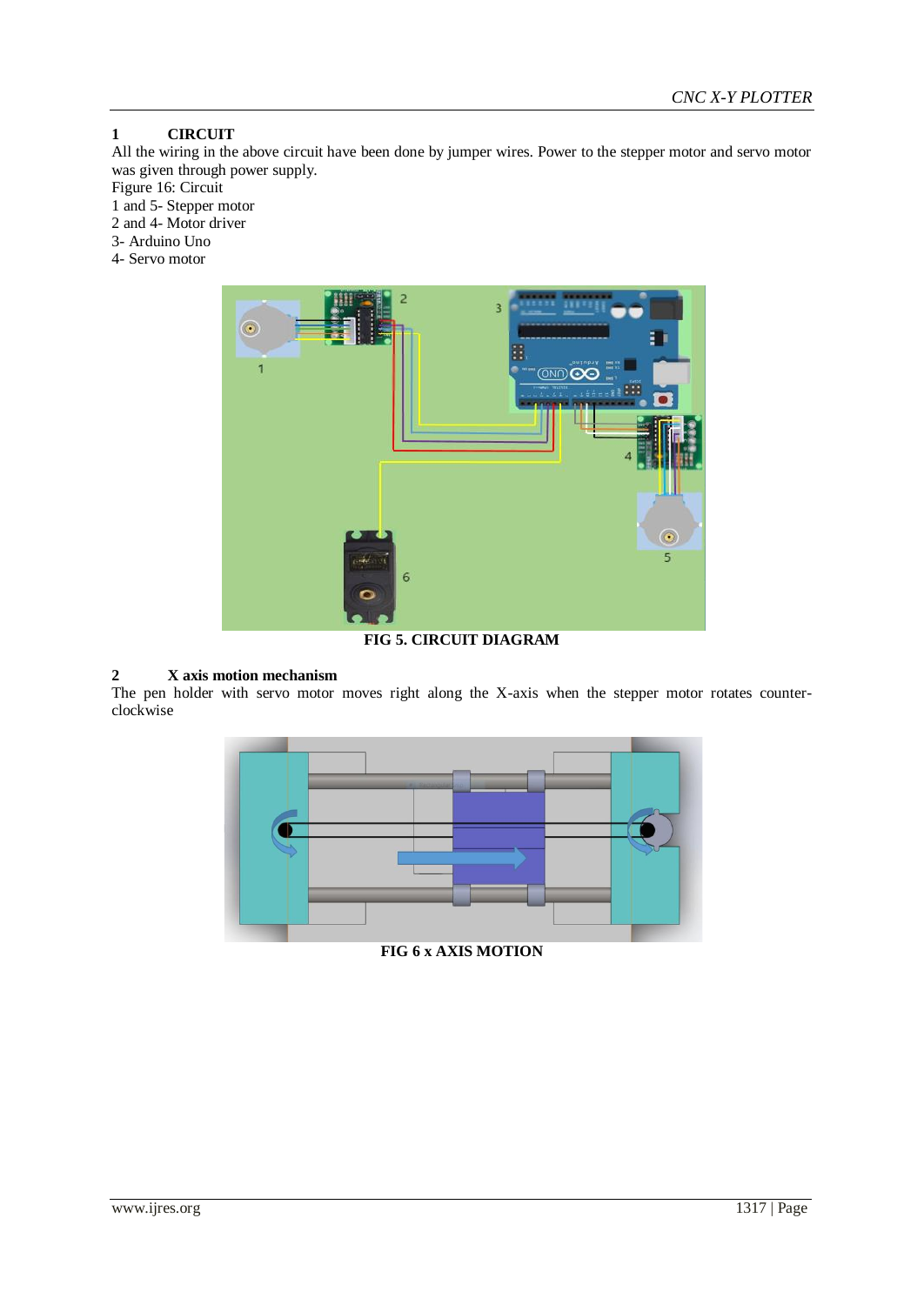## **1 CIRCUIT**

All the wiring in the above circuit have been done by jumper wires. Power to the stepper motor and servo motor was given through power supply.

Figure 16: Circuit

1 and 5- Stepper motor

2 and 4- Motor driver

3- Arduino Uno

4- Servo motor



**FIG 5. CIRCUIT DIAGRAM**

## **2 X axis motion mechanism**

The pen holder with servo motor moves right along the X-axis when the stepper motor rotates counterclockwise



**FIG 6 x AXIS MOTION**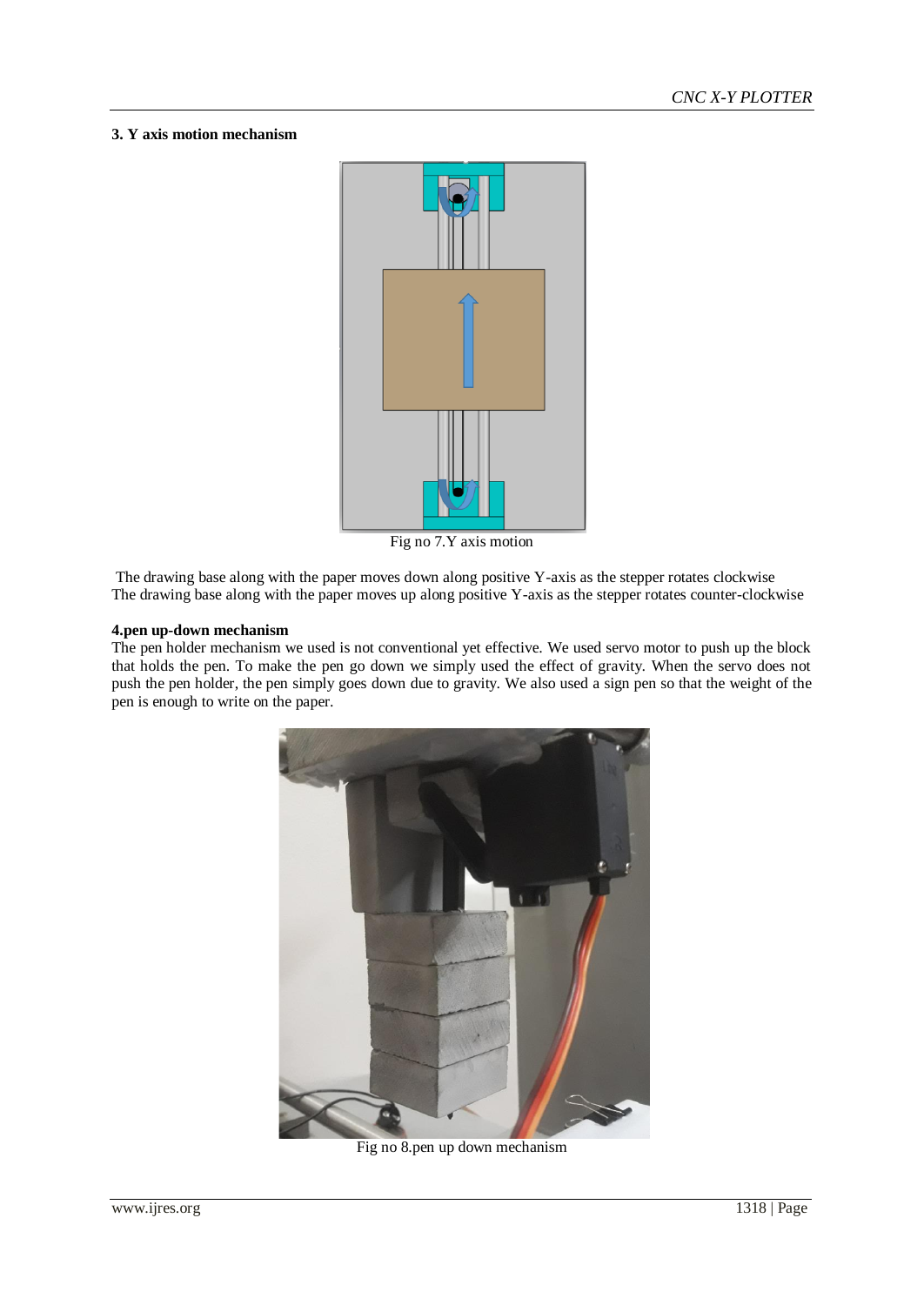#### **3. Y axis motion mechanism**



Fig no 7.Y axis motion

The drawing base along with the paper moves down along positive Y-axis as the stepper rotates clockwise The drawing base along with the paper moves up along positive Y-axis as the stepper rotates counter-clockwise

#### **4.pen up-down mechanism**

The pen holder mechanism we used is not conventional yet effective. We used servo motor to push up the block that holds the pen. To make the pen go down we simply used the effect of gravity. When the servo does not push the pen holder, the pen simply goes down due to gravity. We also used a sign pen so that the weight of the pen is enough to write on the paper.



Fig no 8.pen up down mechanism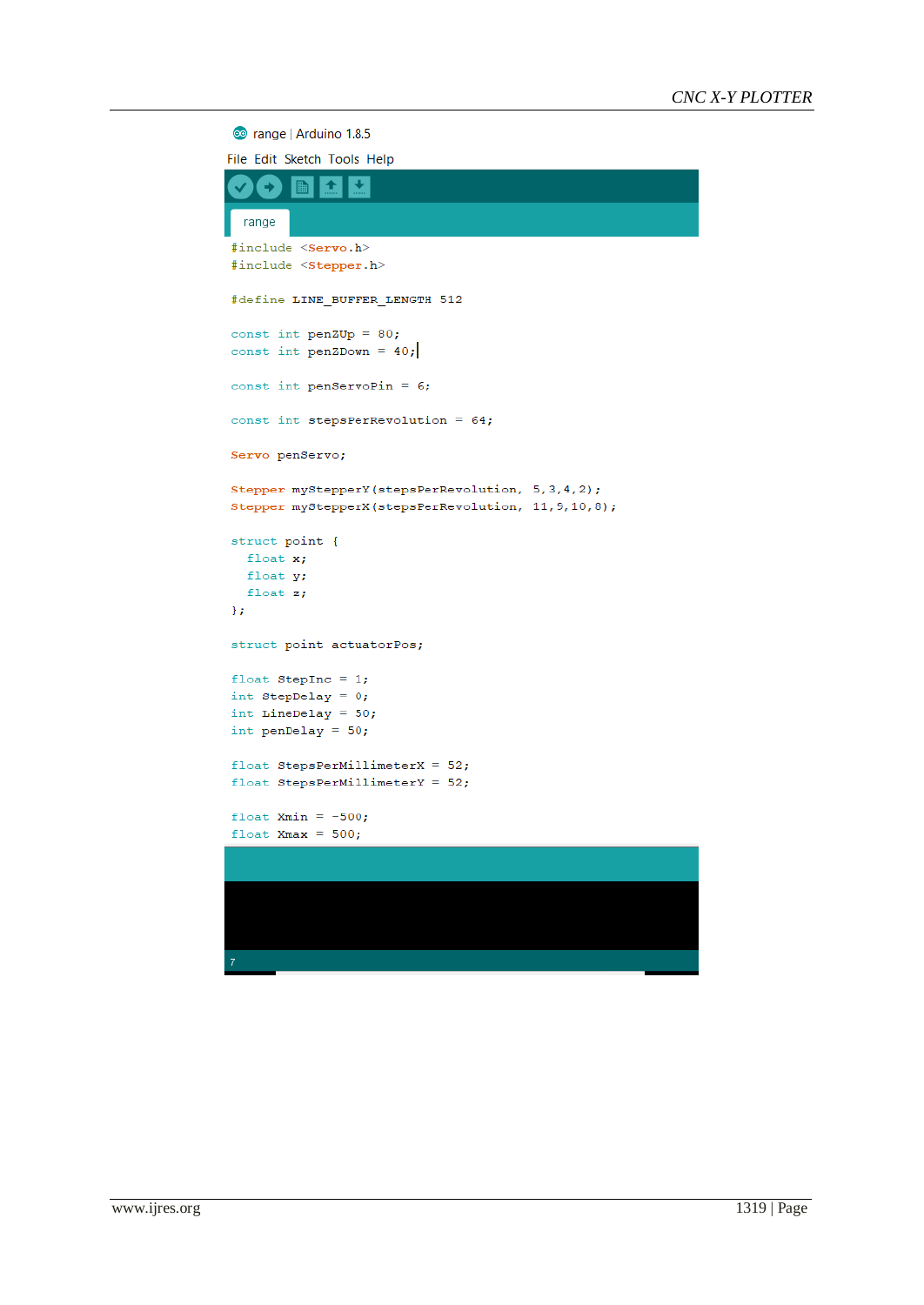co range | Arduino 1.8.5

| File Edit Sketch Tools Help                                       |
|-------------------------------------------------------------------|
| range                                                             |
|                                                                   |
| #include <servo.h><br/>#include <stepper.h></stepper.h></servo.h> |
| #define LINE BUFFER LENGTH 512                                    |
| const int penZUp = $80$ ;<br>const int penZDown = $40$ ;          |
| const int penServoPin = $6$ ;                                     |
| const int stepsPerRevolution = $64$ ;                             |
| Servo penServo;                                                   |
| Stepper myStepperY(stepsPerRevolution, 5, 3, 4, 2);               |
| Stepper myStepperX(stepsPerRevolution, 11, 9, 10, 8);             |
| struct point {                                                    |
| float $x;$                                                        |
| float y;                                                          |
| float $z;$                                                        |
| };                                                                |
| struct point actuatorPos;                                         |
| float StepInc = $1;$                                              |
| int StepDelay = $0$ ;                                             |
| int LineDelay = $50$ ;                                            |
| int penDelay = $50$ ;                                             |
| float StepsPerMillimeterX = $52$ ;                                |
| float StepsPerMillimeterY = $52$ ;                                |
| float Xmin = $-500$ ;                                             |
| float $Xmax = 500$ ;                                              |
|                                                                   |
|                                                                   |
|                                                                   |
|                                                                   |
| 7                                                                 |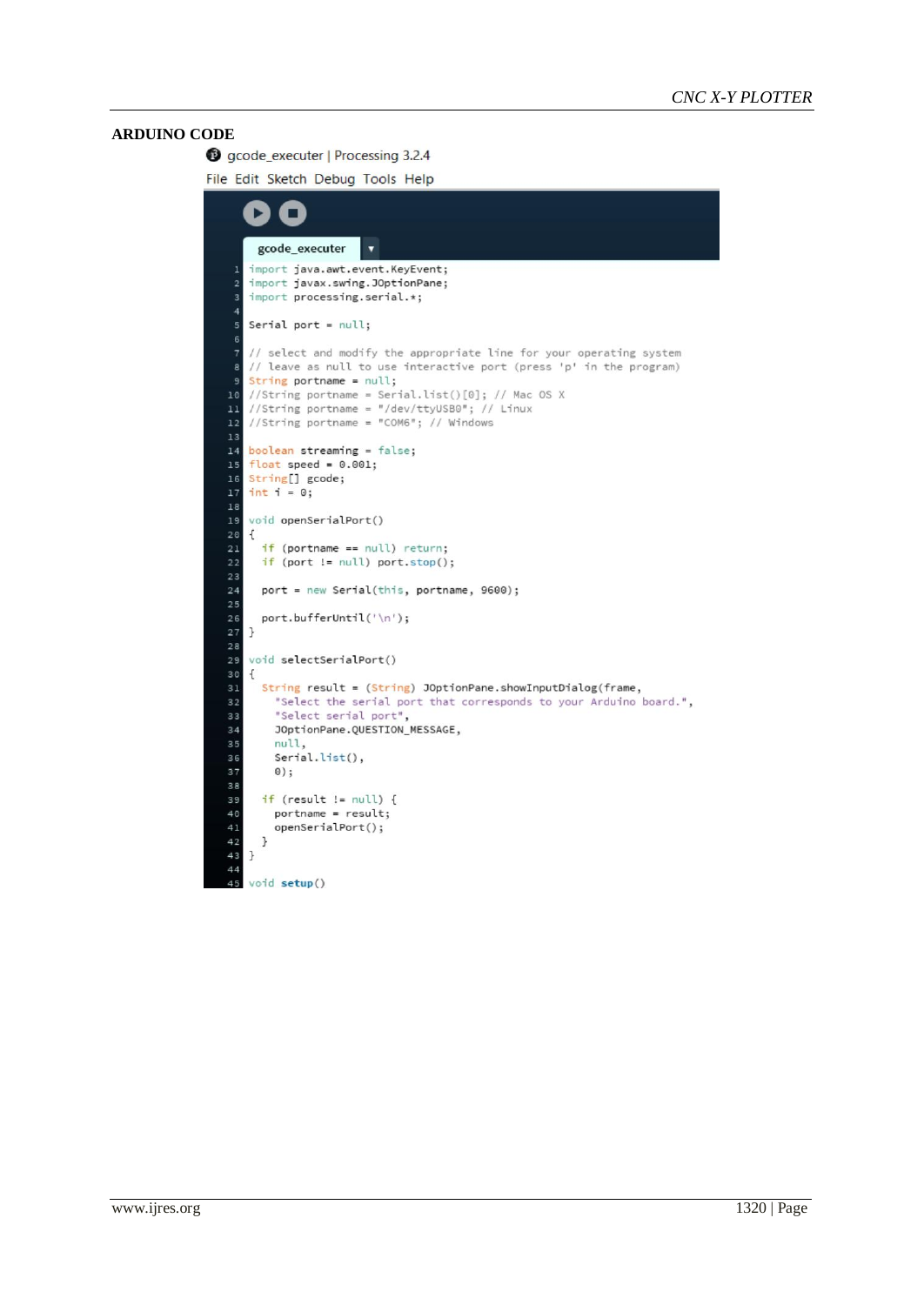#### **ARDUINO CODE**

gcode\_executer | Processing 3.2.4

File Edit Sketch Debug Tools Help

```
D
     gcode executer
                        \cdotimport java.awt.event.KeyEvent;
    import javax.swing.JOptionPane;
 \overline{2}import processing.serial.*;
 \overline{4}Serial port = null;// select and modify the appropriate line for your operating system
    // leave as null to use interactive port (press 'p' in the program)
   String portname = null;
 9
   //String portname = Serial.list()[0]; // Mac OS X
    //String portname = "/dev/ttyUSB0"; // Linux
   //String portname = "COM6"; // Windows
12_{13}boolean streaming = false;
14\,float speed = 0.001;String[] gcode;
    int i = 0;1718void openSerialPort()
   \mathfrak{c}if (portname == null) return;
     if (port != null) port.stop();\overline{23}\overline{24}port = new Serial(this, portname, 9600);
25
26
     port.bufferUntil('\n');
\begin{array}{c} 27 \\ 28 \end{array}\overline{ }void selectSerialPort()
   \mathcal{L}String result = (String) JOptionPane.showInputDialog(frame,
32"Select the serial port that corresponds to your Arduino board.",
33
        "Select serial port"
        JOptionPane.QUESTION_MESSAGE,
34
35
        null,
36
        Serial.list(),
37
        \circ);
38
39
      if (result != null) {
40
        portname = result;openSerialPort();
     \mathbf{1}\, }
4445
    void setup()
```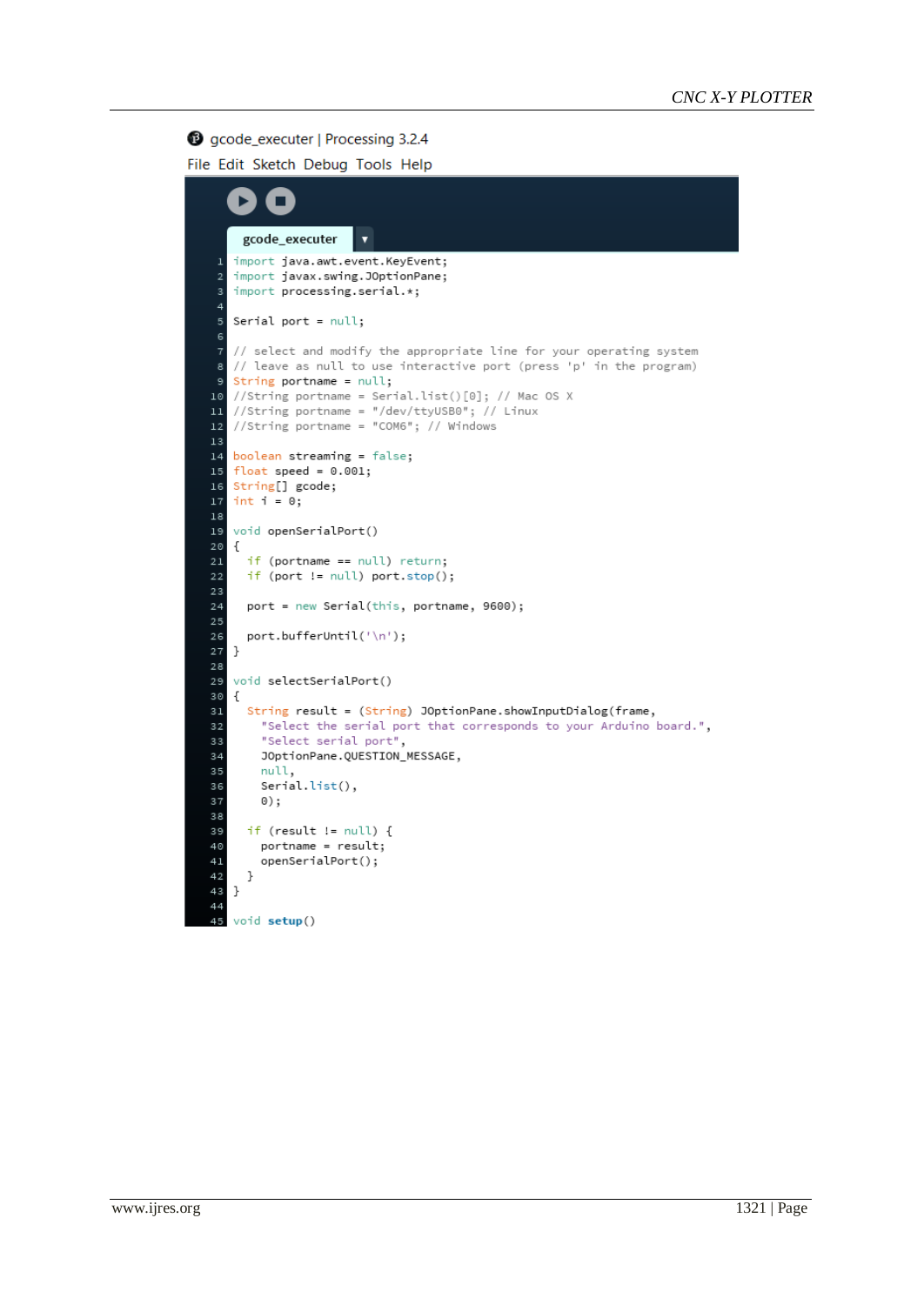## gcode\_executer | Processing 3.2.4

File Edit Sketch Debug Tools Help

```
E
          П
     gcode_executer
   import java.awt.event.KeyEvent;
 \overline{1}import javax.swing.JOptionPane;
   import processing.serial.*;
 \overline{4}Serial port = null;
 - F
   // select and modify the appropriate line for your operating system
   // leave as null to use interactive port (press 'p' in the program)
   String portname = null;
10 //String portname = Serial.list()[0]; // Mac OS X
11 //String portname = "/dev/ttyUSB0"; // Linux
12//String portname = "COM6"; // Windows
1\sqrt{3}14 boolean streaming = false;
   float speed = 0.001;
15
16\,String[] gcode;
   int i = 0;1718\,19
   void openSerialPort()
   €
     if (portname == null) return;
21if (port != null) port.stop();
23port = new Serial(this, portname, 9600);
24
     port.bufferUntil('\n');
26
   }
28
   void selectSerialPort()
30\mathfrak{c}String result = (String) JOptionPane.showInputDialog(frame,
       "Select the serial port that corresponds to your Arduino board.",
32"Select serial port",
33
34JOptionPane.QUESTION_MESSAGE,
       null,
35
36
       Serial.list(),
37
       0);
38if (result != null) {
39
40portname = result;
41openSerialPort();
42- }
43
   }
44void setup()
```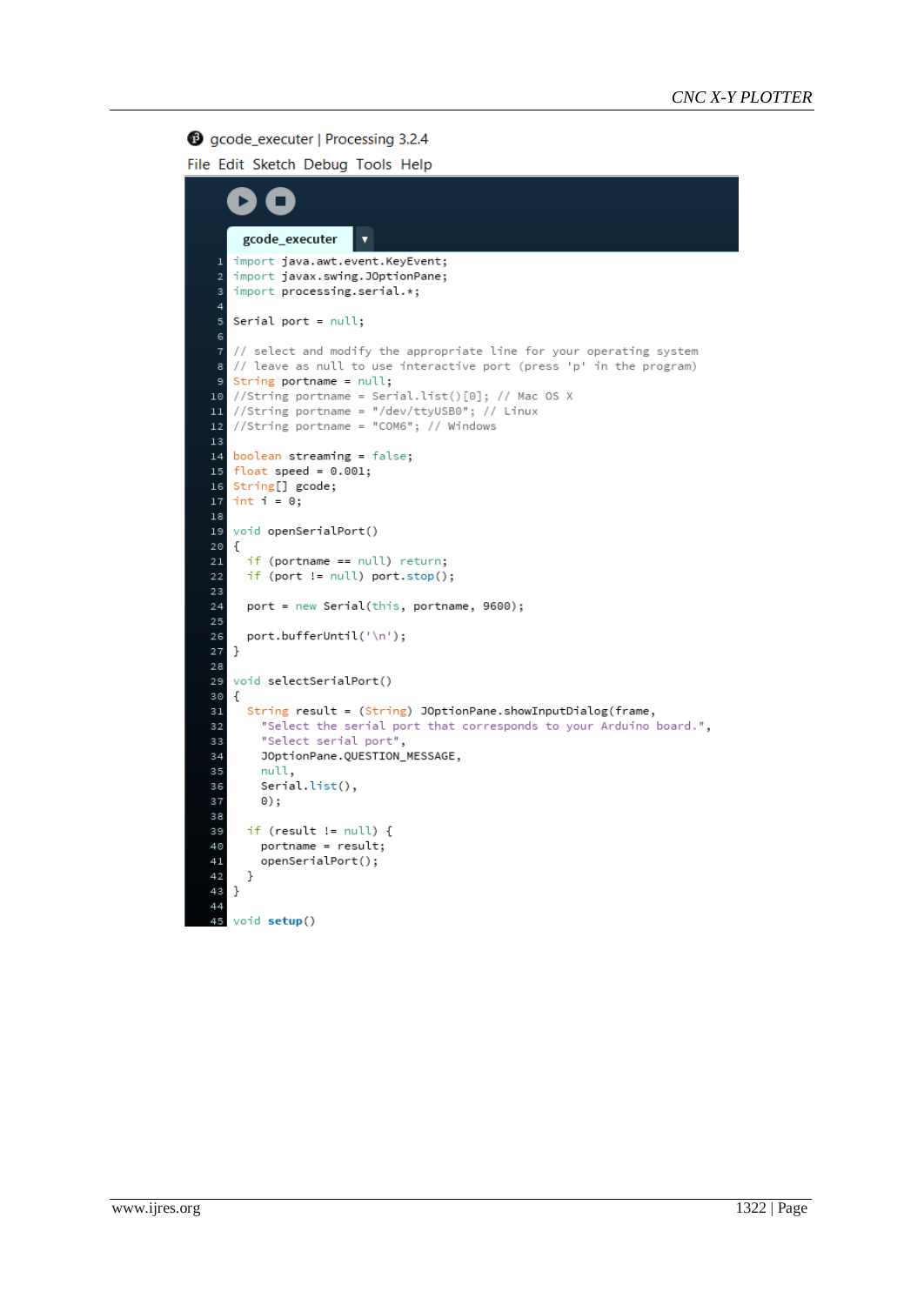## gcode\_executer | Processing 3.2.4

File Edit Sketch Debug Tools Help

```
E
          П
     gcode_executer
   import java.awt.event.KeyEvent;
 \overline{1}import javax.swing.JOptionPane;
   import processing.serial.*;
 \overline{4}Serial port = null;
 - F
   // select and modify the appropriate line for your operating system
   // leave as null to use interactive port (press 'p' in the program)
   String portname = null;
10 //String portname = Serial.list()[0]; // Mac OS X
11 //String portname = "/dev/ttyUSB0"; // Linux
12//String portname = "COM6"; // Windows
1314 boolean streaming = false;
   float speed = 0.001;
15
16\,String[] gcode;
   int i = 0;1718\,19
   void openSerialPort()
   €
     if (portname == null) return;
21if (port != null) port.stop();
23port = new Serial(this, portname, 9600);
24
     port.bufferUntil('\n');
26
   \mathcal{F}28
   void selectSerialPort()
30\mathfrak{c}String result = (String) JOptionPane.showInputDialog(frame,
       "Select the serial port that corresponds to your Arduino board.",
32"Select serial port",
33
34JOptionPane.QUESTION_MESSAGE,
       null,
35
36
       Serial.list(),
37
       0);
38if (result != null) {
39
40portname = result;
41openSerialPort();
42- }
43
   - }
44void setup()
```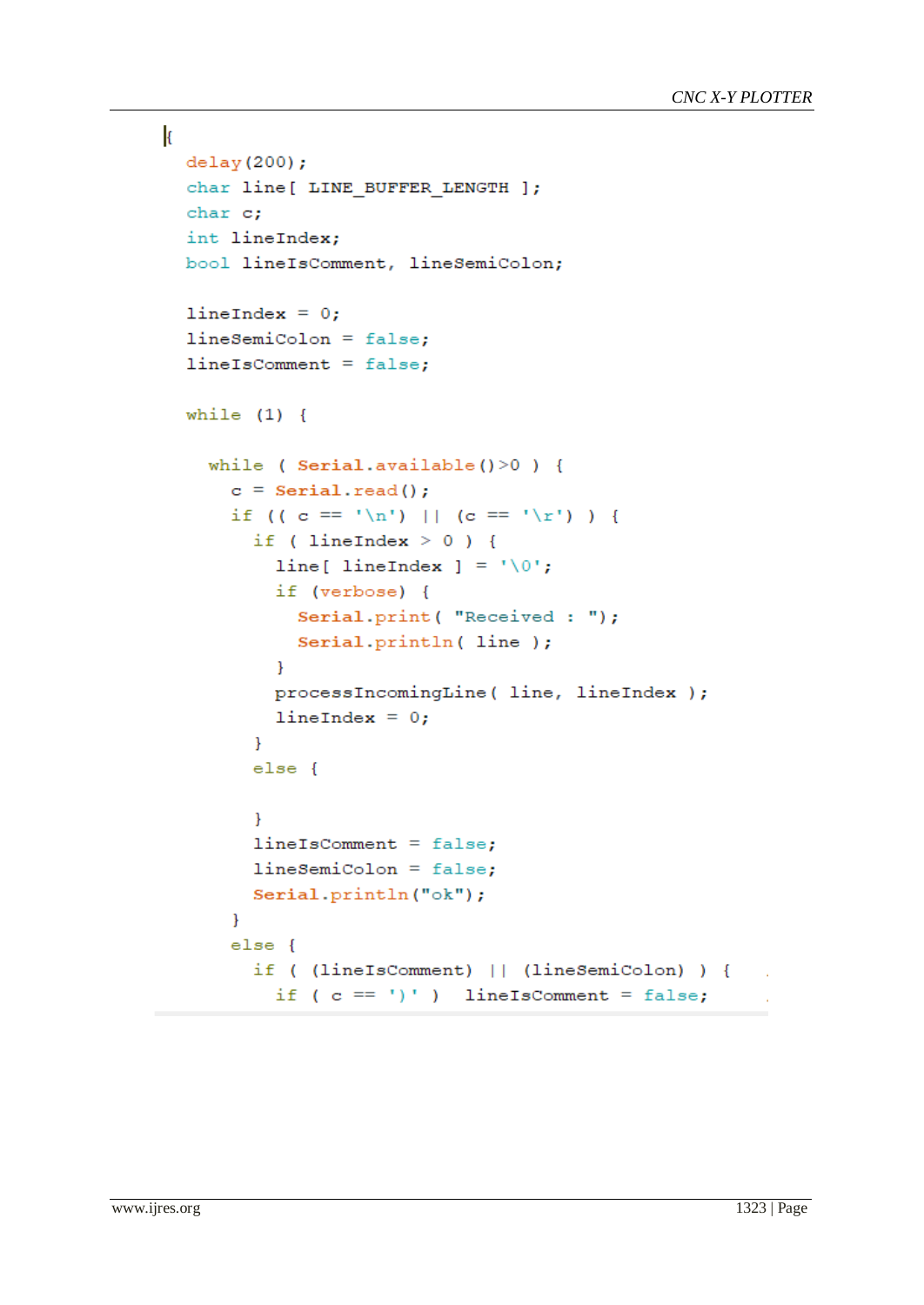```
k
  delay(200);char line [ LINE BUFFER LENGTH ];
  char c;
  int lineIndex;
  bool lineIsComment, lineSemiColon;
  lineIndex = 0;lineSemicolon = false;lineIsComment = false;while (1) {
    while ( Serial.available() > 0 ) {
      c = Serial.read();
      if ((c == 'n') || (c == 'r') )if ( lineIndex > 0 ) {
           line[ lineIndex ] = ' \ 0';if (verbose) {
             Serial.print ( "Received : ");
             Serial.println( line );
           \mathcal{F}processIncomingLine ( line, lineIndex );
           lineIndex = 0;\mathcal{F}else {
         \mathcal{F}lineIsComment = false;lineSemicolon = false;Serial.println("ok");
      \mathbf{L}else {
        if ( (lineIsComment) || (lineSemiColon) ) {
          if (c == ')' ) lineIsComment = false;
```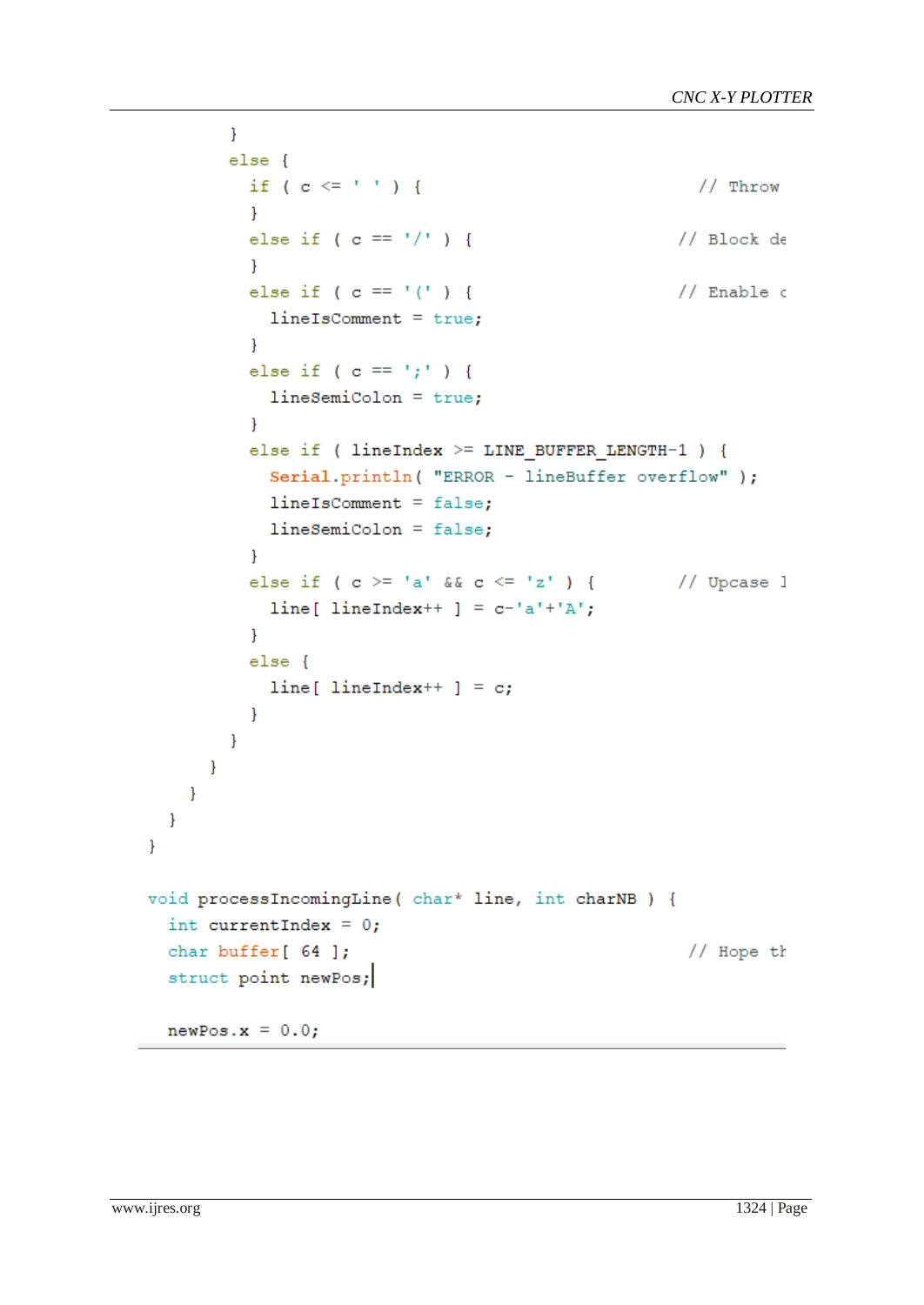```
\mathcal{F}else {
            if ( c \leq 1 ) {
                                                                  // Throw
            \mathcal{F}else if ( c == '/' ) {
                                                               // Block de\mathcal{V}else if ( c == '('') {
                                                               // Enable \circlineIsComment = true;\mathcal{F}else if ( c == '; ' ) {
              lineSemicolon = true;<sup>1</sup>
            else if ( lineIndex >= LINE BUFFER LERGTH-1 ) {
              Serial.println( "ERROR - lineBuffer overflow" );
              lineIsComment = false;lineSemicolon = false;\mathcal{F}else if ( c >= 'a' && c <= 'z' ) {
                                                             // Upcase l
              line[ lineIndex++ ] = c-'a'+'A';
            \mathcal{F}else {
              line[ lineIndex++ ] = c;
            \mathcal{F}\mathcal{F}\mathcal{F}\mathcal{E}\mathcal{F}\mathbf{E}void processIncomingLine ( char* line, int charNB ) {
  int currentIndex = 0;
  char buffer[ 64 ];
                                                                 // Hope th
  struct point newPos;
  newPos.x = 0.0;
```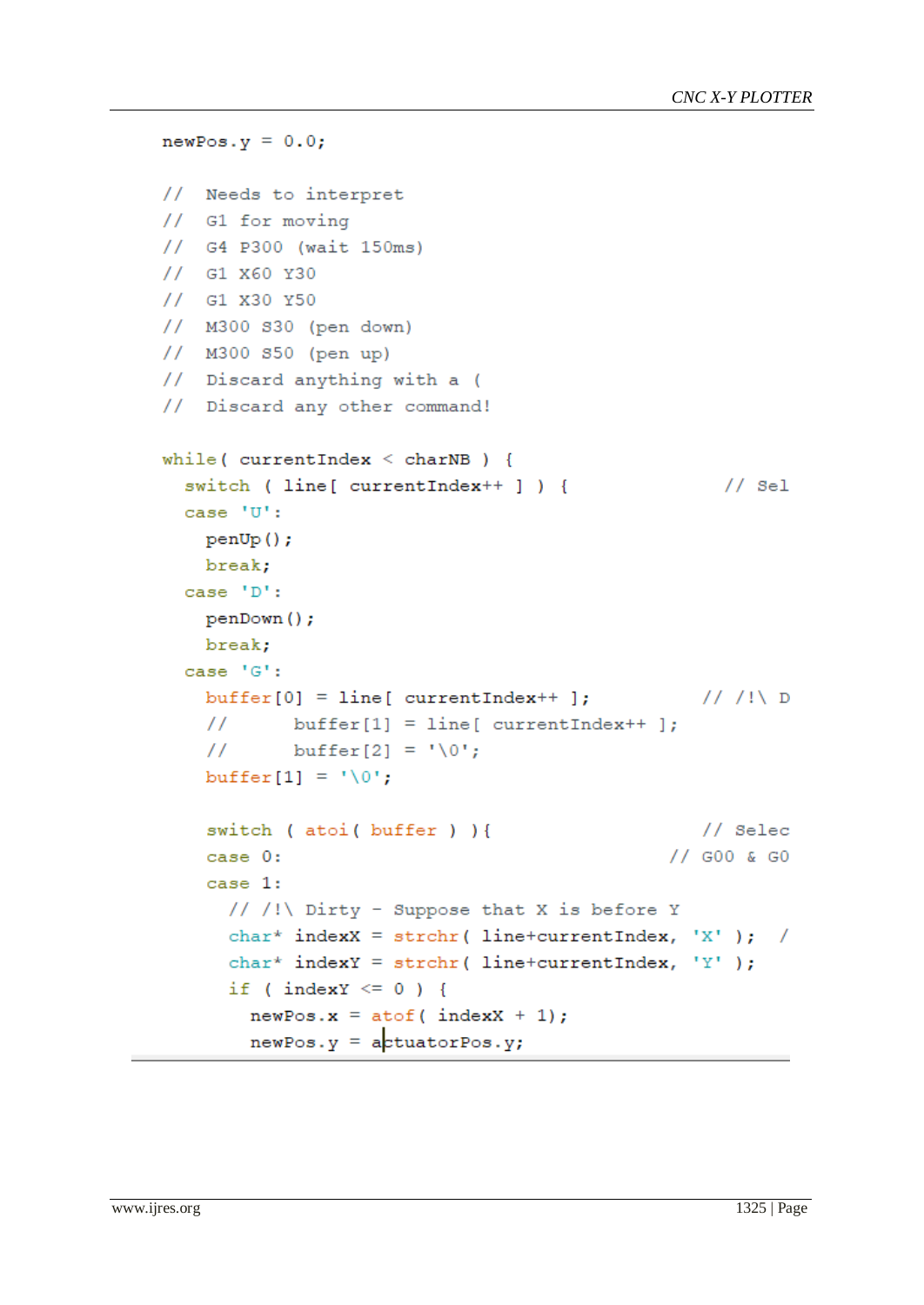```
newPos.y = 0.0;// Needs to interpret
// G1 for moving
1/ G4 P300 (wait 150ms)
// G1 X60 Y30
1/ G1 X30 Y50
// M300 S30 (pen down)
// M300 S50 (pen up)
// Discard anything with a (
// Discard any other command!
while ( currentIndex \leq charNB ) {
                                                   1/ Sel
  switch ( line [ currentIndex++ ] ) {
  case 'U':
   penUp();
   break;
  case 'D':
   penDown();
   break;
  case 'G':
    buffer[0] = line[currentIndex++];\frac{1}{2}buffer[1] = line[currentIndex++];\frac{1}{2}buffer[2] = '\0';buffer[1] = ' \ 0';
    switch (atoi (buffer) ) {
                                                 // Selec
                                              // GOO & GO
    case 0:
    case 1:
     // /!\ Dirty - Suppose that X is before Y
      char* indexX = strchr( line+currentIndex, 'X' ); /
      char* indexY = strchr( line+currentIndex, 'Y' );
      if (indexY \leq 0) {
        newPos.x = atof (index X + 1);newPos.y = actuatorPos.y;
```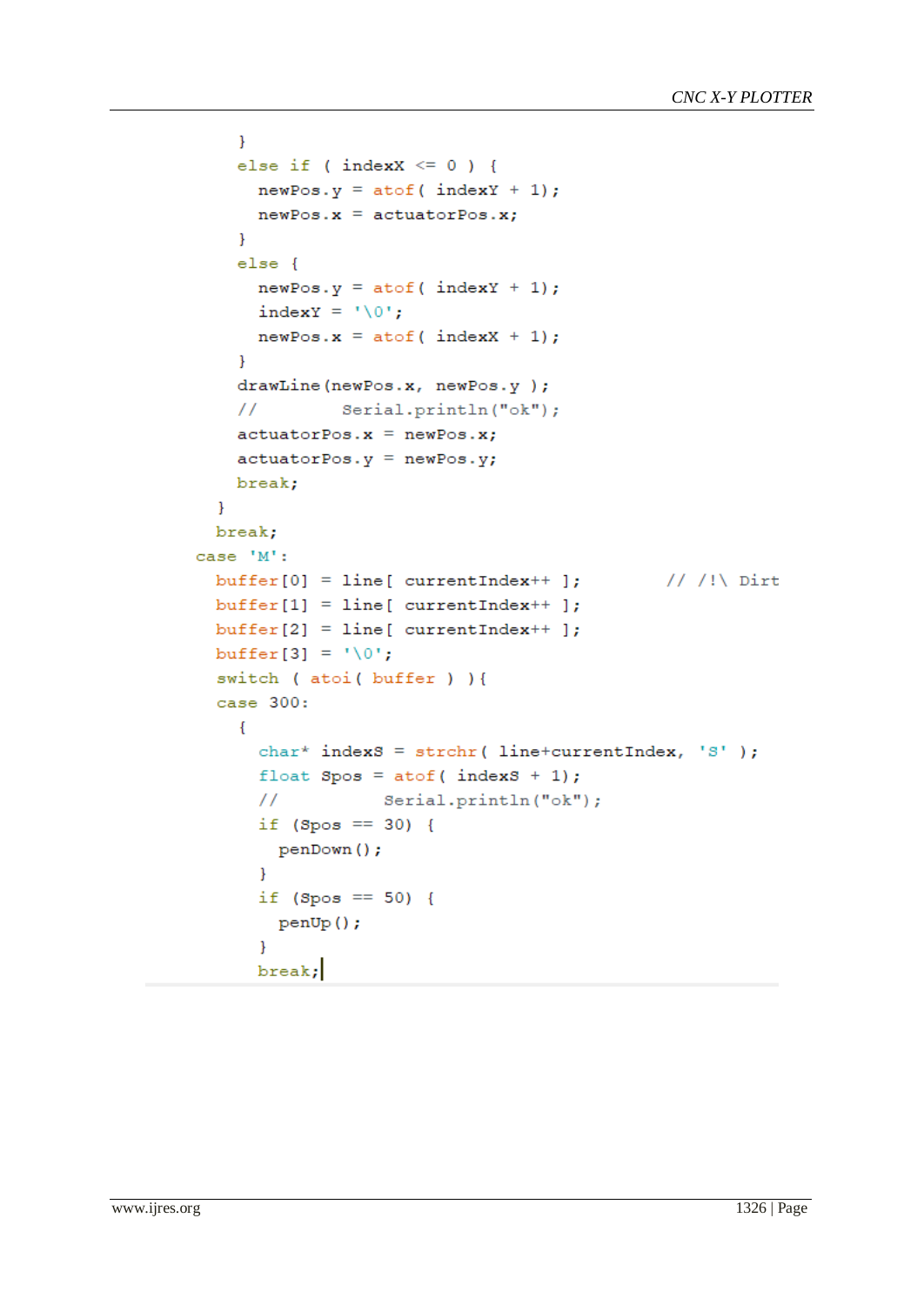```
\mathcal{F}else if ( indexX \le 0 ) {
      newPos.y = atof (index Y + 1);newPos.x = actuatorPos.x;\mathcal{F}else {
      newPos.y = atof (index Y + 1);indexY = '\0;
      newPos.x = atof (index X + 1);\mathcal{F}drawLine(newPos.x, newPos.y);
    \frac{1}{2}Serial.println("ok");
    actuatorPos.x = newPos.x;actuatorPos.y = newPos.y;break;
  \mathcal{F}break;
case 'M':
                                              // /!\ Dirt
  buffer[0] = line[currentIndex++];buffer[1] = line[currentIndex++];buffer[2] = line[currentIndex++];buffer[3] = ' \ 0';
  switch ( atoi ( buffer ) ) {
  case 300:
    \left\{ \right.char* indexS = strchr( line+currentIndex, 'S' );
      float Spos = atof( indexS + 1);Serial.println("ok");
      \frac{1}{2}if (Spos == 30) {
       penDown();
      \mathcal{F}if (Spos == 50) {
        penUp();
      \mathcal{F}break;
```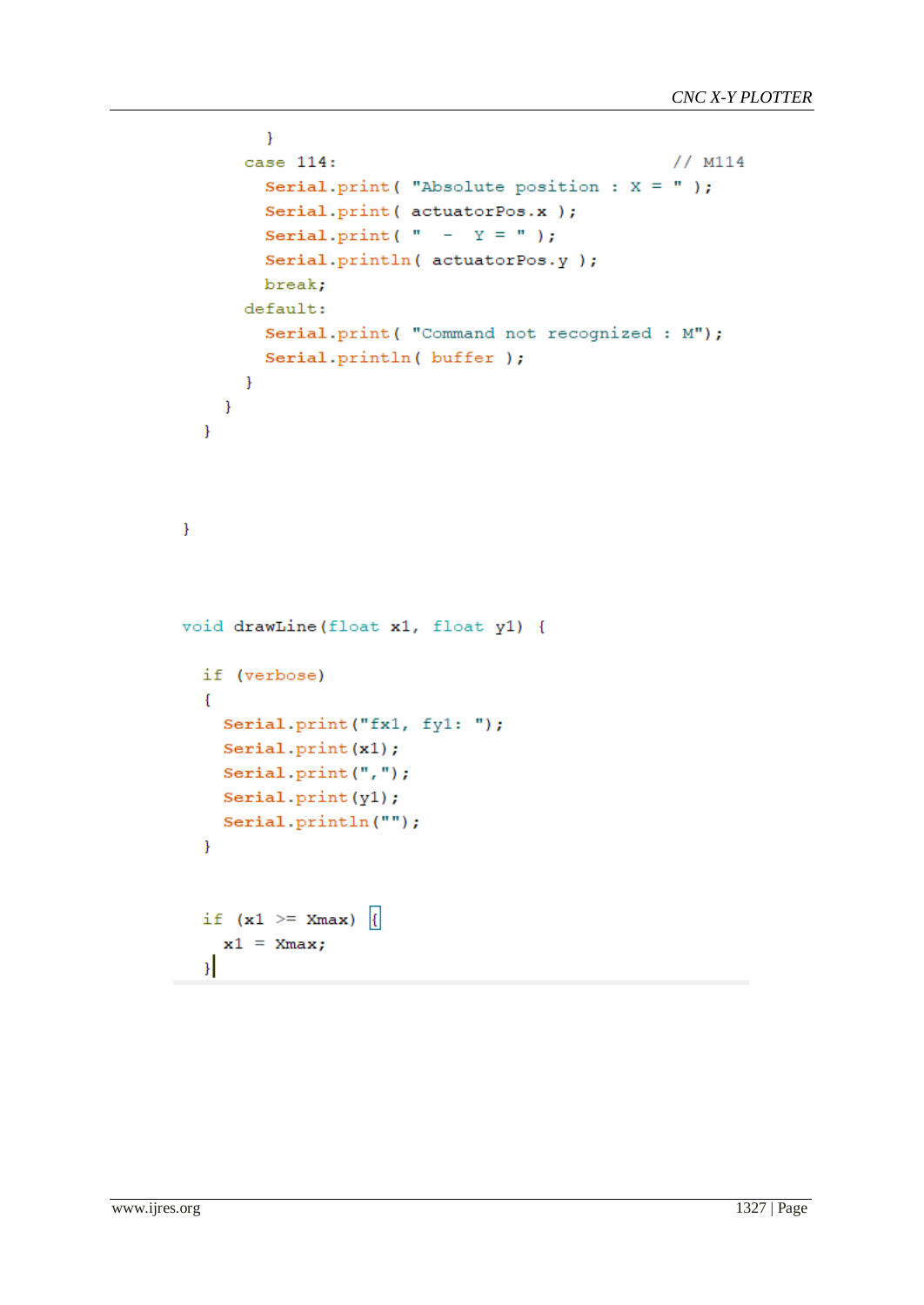```
\mathcal{F}case 114:
                                                       // M114
         Serial.print ("Absolute position : X = ");
         Serial.print( actuatorPos.x );
         Serial.print( " - Y = " );
         Serial.println( actuatorPos.y );
         break;
      default:
         Serial.print ( "Command not recognized : M");
         Serial.println( buffer );
       \mathcal{F}\mathcal{F}\mathcal{E}\mathbf{L}void drawLine (float x1, float y1) {
  if (verbose)
  \{Serial.print("fx1, fy1: ");
    Serial.print(x1);
    Serial.print(",");
    Serial.print(y1);
    Serial.println("");
  \mathcal{F}if (x1) = Xmax |{
    x1 = Xmax;\mathcal{H}
```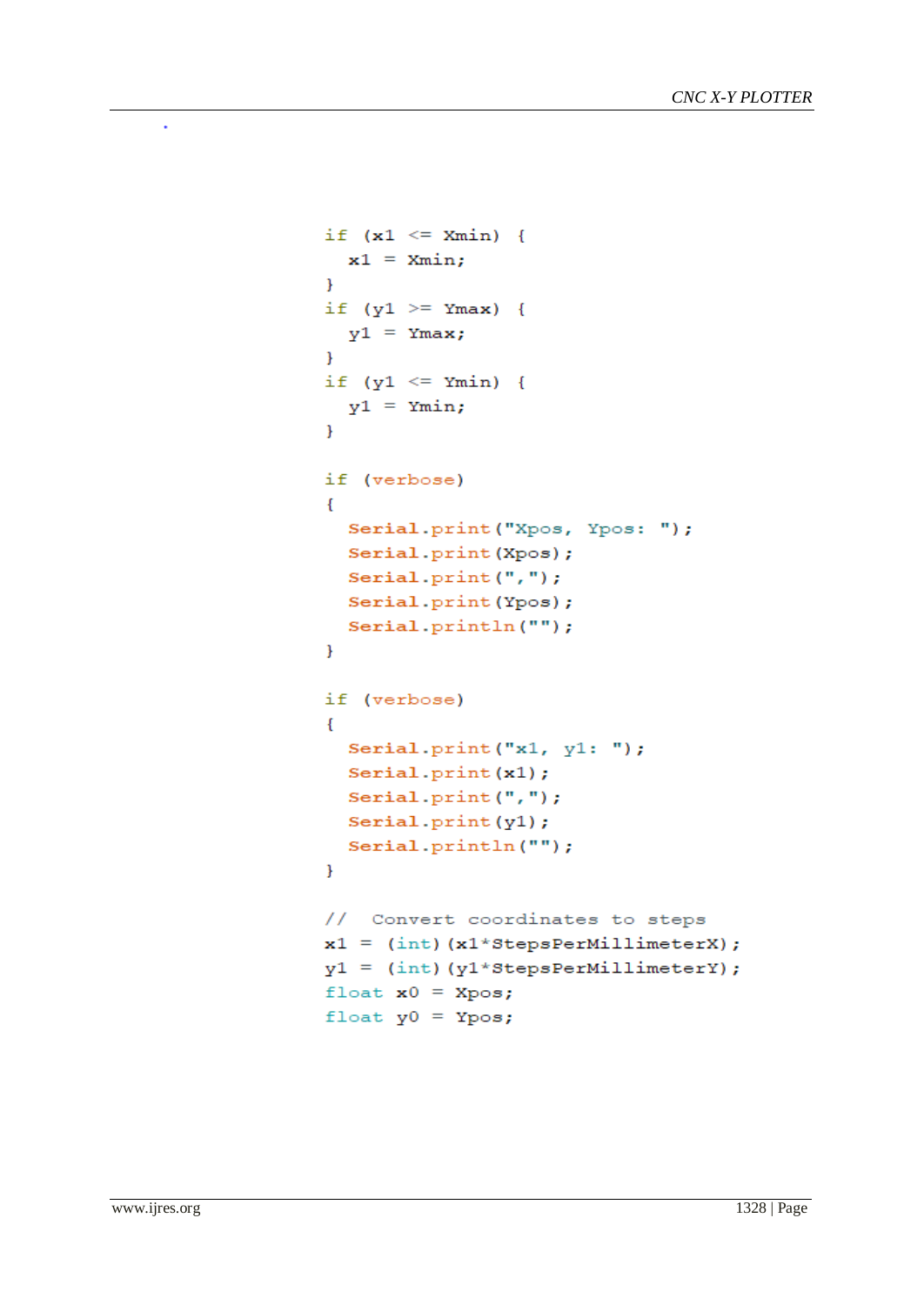```
if (x1 \le x \text{ min}) {
  x1 = Xmin;\mathcal{V}if (y1 \ge y Ymax) {
  y1 = Ymax;\mathcal{F}if (y1 \leq y \leq x \text{min}) {
  y1 = Ymin;\mathbf{F}if (verbose)
\mathbf{f}Serial.print ("Xpos, Ypos: ");
  Serial.print(Xpos);
  Serial.print(",");
  Serial.print(Ypos);
  Serial.println("");
\mathcal{F}if (verbose)
\mathbf{f}Serial.print("x1, y1: ");Serial.print(x1);
  Serial. print(",");
  Serial.print(y1);
  Serial.println("");
\mathbf{F}// Convert coordinates to steps
x1 = (int) (x1*StepsPerMillimeterX);y1 = (int) (y1*stepsPerMillimeterY);float x0 = Xpos;float y0 = Ypos;
```
÷,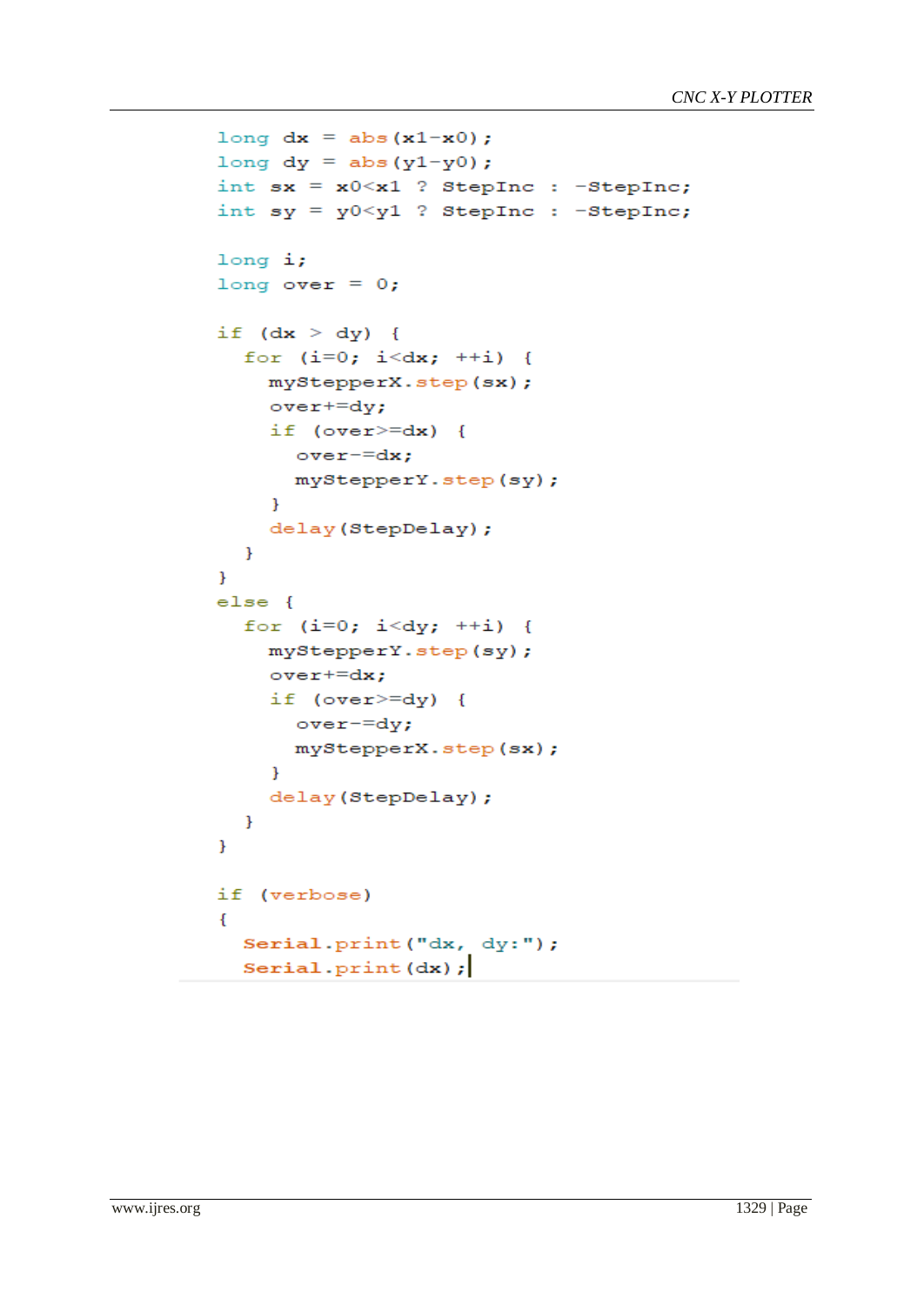```
long dx = abs(x1-x0);
long dy = abs(y1-y0);
int sx = x0 < x1 ? StepInc : -StepInc;
int sy = y0 < y1 ? StepInc : -StepInc;
long i;
long over = 0;
if (dx > dy) {
  for (i=0; i<dx; ++i) {
    myStepperX.step(sx);
    over = dy;if (over>=dx) {
       over=dx;myStepperY.step(sy);
    \mathcal{F}delay (StepDelay);
  \mathbf{R}\mathbf{F}else {
  for (i=0; i< dy; ++i) {
    myStepperY.step(sy);
    over+=dx;if (over>=dy) {
      over-=dy;
      myStepperX.step(sx);
    \mathbf{F}delay(StepDelay);
  \mathbf{r}ł
if (verbose)
\mathcal{E}Serial.print("dx, dy:");
  Serial.print(dx);
```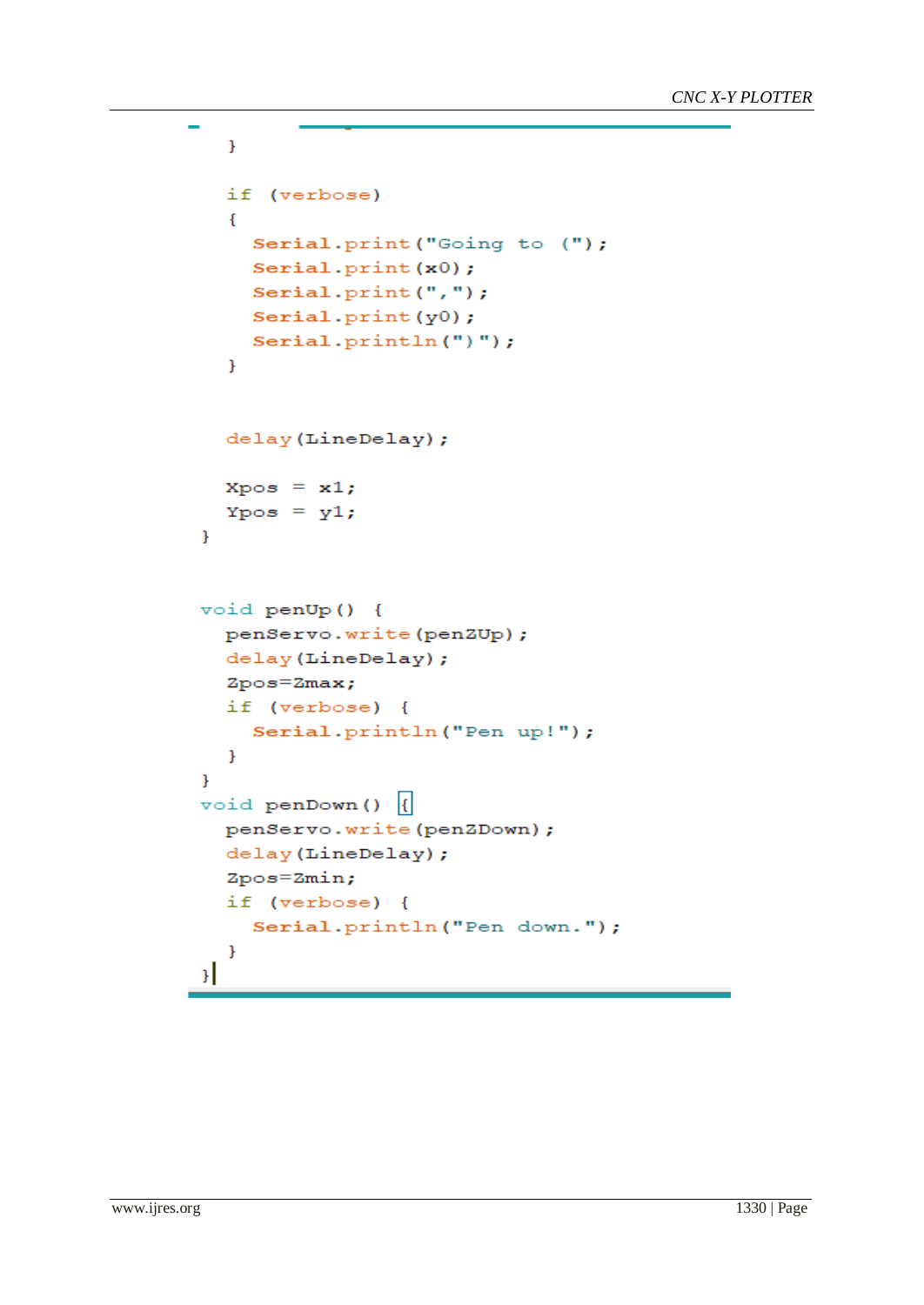```
\mathbf{E}if (verbose)
  \mathbf{f}Serial.print ("Going to (");
    Serial.print(x0);
    Serial.print("," ;
    Serial.print(y0);
    Serial.println(")");
  \mathbf{R}delay(LineDelay);
  Xpos = x1;Ypos = y1;\mathbf{r}void penUp() {
  penServo.write(penZUp);
  delay(LineDelay);
  Zpos=Zmax;if (verbose) {
    Serial.println("Pen up!");
  \mathbf{r}\mathbf{1}void penDown() |{
  penServo.write(penZDown);
  delay(LineDelay);
  Zpos=Zmin;
  if (verbose) {
    Serial.println("Pen down.");
  ł
\mathcal{H}
```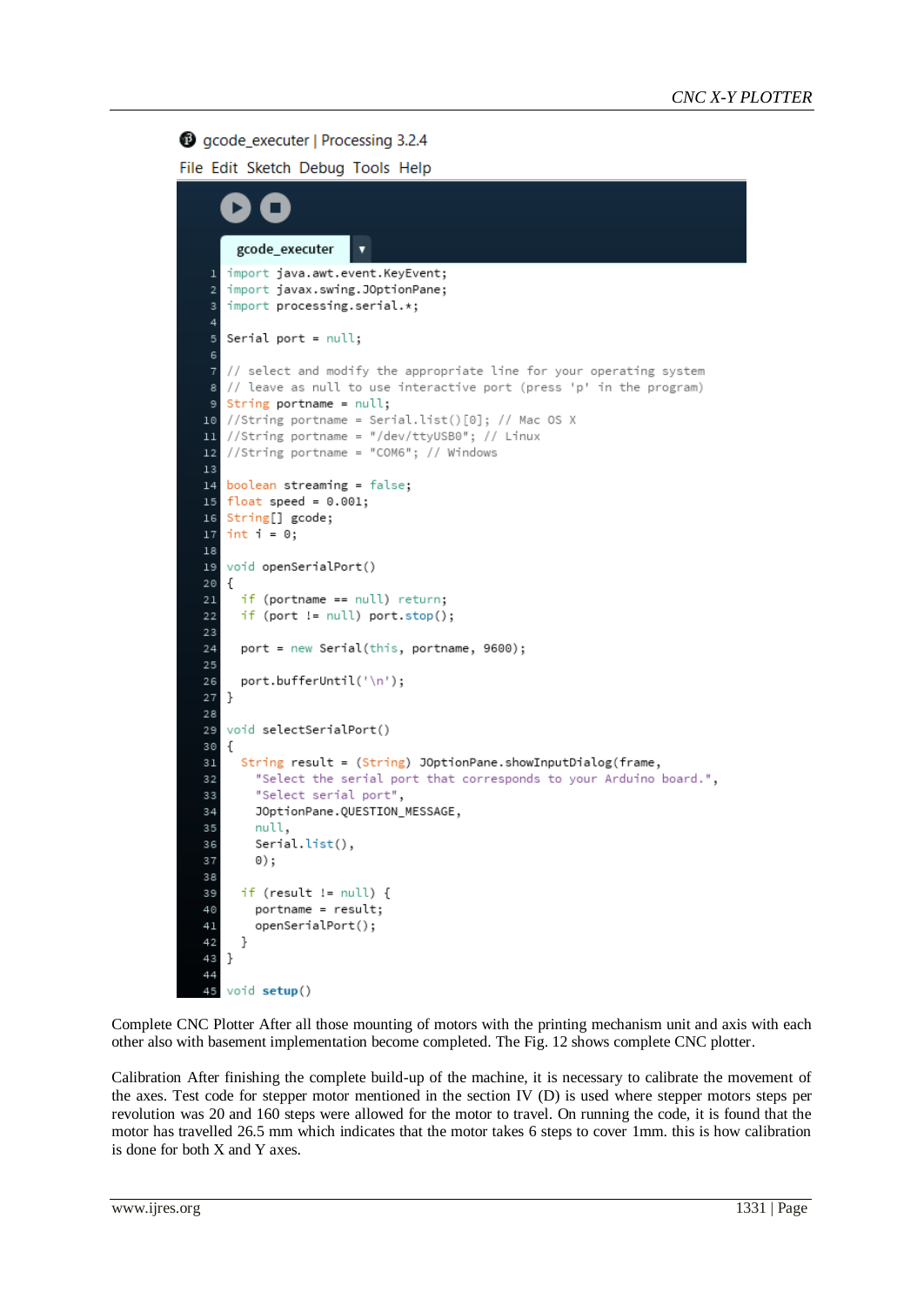## gcode\_executer | Processing 3.2.4

File Edit Sketch Debug Tools Help

```
gcode_executer
                       ٠
   import java.awt.event.KeyEvent;
 \overline{1}import javax.swing.JOptionPane;
 \overline{z}import processing.serial.*;
 5
   Serial port = null;// select and modify the appropriate line for your operating system
 7
   // leave as null to use interactive port (press 'p' in the program)
 A
   String portname = null;
  //String portname = Serial.list()[0]; // Mac OS X
10
  //String portname = "/dev/ttyUSB0"; // Linux
1112//String portname = "COM6"; // Windows
13boolean streaming = false;
14\,float speed = 0.001;
15
16String[] gcode;
17 int i = 0;
1819void openSerialPort()
20
   \{\overline{21}if (portname == null) return;
22if (port != null) port.stop();
23
24port = new Serial(this, portname, 9600);
2526
     port.bufferUntil('\n');
27
  \rightarrow2829
   void selectSerialPort()
30-{
     String result = (String) JOptionPane.showInputDialog(frame,
31"Select the serial port that corresponds to your Arduino board.",
3233
       "Select serial port",
34
       JOptionPane.QUESTION_MESSAGE,
       null,
35
       Serial.list(),
36
       0);
3738
     if (result != null) {
39
40
       portname = result;
41openSerialPort();
42- }
43
  \rightarrow44void setup()
45
```
Complete CNC Plotter After all those mounting of motors with the printing mechanism unit and axis with each other also with basement implementation become completed. The Fig. 12 shows complete CNC plotter.

Calibration After finishing the complete build-up of the machine, it is necessary to calibrate the movement of the axes. Test code for stepper motor mentioned in the section IV (D) is used where stepper motors steps per revolution was 20 and 160 steps were allowed for the motor to travel. On running the code, it is found that the motor has travelled 26.5 mm which indicates that the motor takes 6 steps to cover 1mm. this is how calibration is done for both X and Y axes.